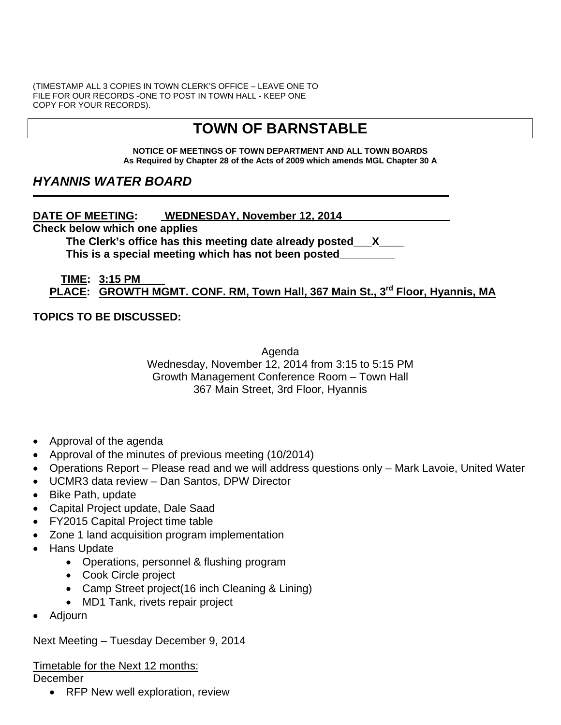(TIMESTAMP ALL 3 COPIES IN TOWN CLERK'S OFFICE – LEAVE ONE TO FILE FOR OUR RECORDS -ONE TO POST IN TOWN HALL - KEEP ONE COPY FOR YOUR RECORDS).

# **TOWN OF BARNSTABLE**

#### **NOTICE OF MEETINGS OF TOWN DEPARTMENT AND ALL TOWN BOARDS As Required by Chapter 28 of the Acts of 2009 which amends MGL Chapter 30 A**

# *HYANNIS WATER BOARD*

**DATE OF MEETING: WEDNESDAY, November 12, 2014** 

**Check below which one applies** 

**The Clerk's office has this meeting date already posted\_\_\_X\_\_\_\_ This is a special meeting which has not been posted\_\_\_\_\_\_\_\_\_** 

**\_\_\_\_\_\_\_ \_\_\_\_\_\_\_\_\_\_\_\_\_\_\_\_\_\_\_\_ \_\_\_\_\_\_\_\_\_\_\_\_\_\_\_\_\_\_\_\_\_\_\_\_\_\_\_\_\_\_\_\_\_\_\_\_\_\_\_\_\_\_\_\_\_\_**

#### **TIME: 3:15 PM PLACE: GROWTH MGMT. CONF. RM, Town Hall, 367 Main St., 3rd Floor, Hyannis, MA**

#### **TOPICS TO BE DISCUSSED:**

Agenda Wednesday, November 12, 2014 from 3:15 to 5:15 PM Growth Management Conference Room – Town Hall 367 Main Street, 3rd Floor, Hyannis

- Approval of the agenda
- Approval of the minutes of previous meeting (10/2014)
- Operations Report Please read and we will address questions only Mark Lavoie, United Water
- UCMR3 data review Dan Santos, DPW Director
- Bike Path, update
- Capital Project update, Dale Saad
- FY2015 Capital Project time table
- Zone 1 land acquisition program implementation
- Hans Update
	- Operations, personnel & flushing program
	- Cook Circle project
	- Camp Street project(16 inch Cleaning & Lining)
	- MD1 Tank, rivets repair project
- Adjourn

Next Meeting – Tuesday December 9, 2014

Timetable for the Next 12 months:

December

• RFP New well exploration, review